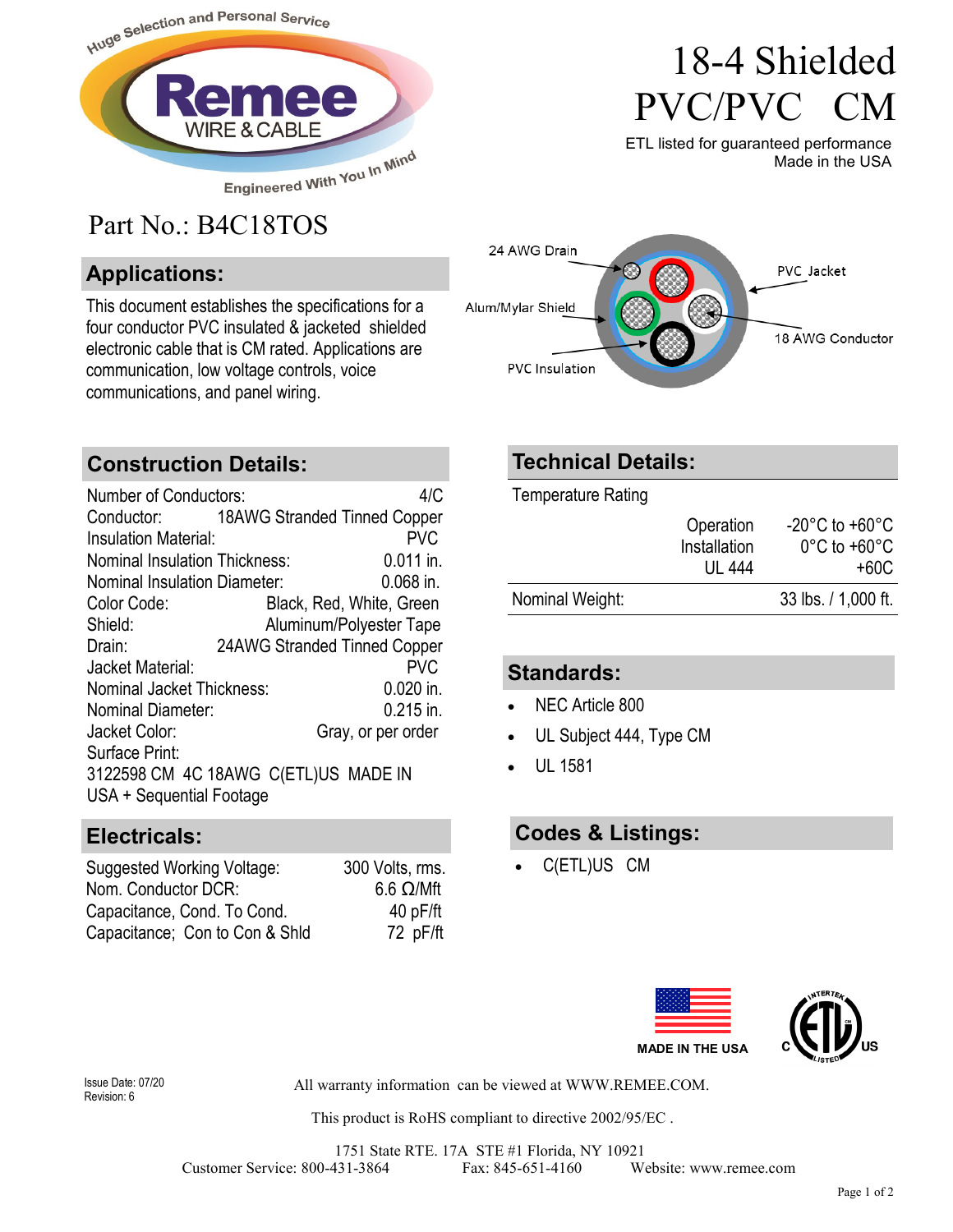

# Part No.: B4C18TOS

### **Applications:**

This document establishes the specifications for a four conductor PVC insulated & jacketed shielded electronic cable that is CM rated. Applications are communication, low voltage controls, voice communications, and panel wiring.

# 18-4 Shielded PVC/PVC CM

ETL listed for guaranteed performance Made in the USA



#### **Construction Details:**

Number of Conductors: 4/C Conductor: 18AWG Stranded Tinned Copper Insulation Material: PVC Nominal Insulation Thickness: 0.011 in. Nominal Insulation Diameter: 0.068 in. Color Code: Black, Red, White, Green Shield: Aluminum/Polyester Tape Drain: 24AWG Stranded Tinned Copper Jacket Material: PVC Nominal Jacket Thickness: 0.020 in. Nominal Diameter: 0.215 in. Jacket Color: Gray, or per order Surface Print: 3122598 CM 4C 18AWG C(ETL)US MADE IN USA + Sequential Footage

#### **Electricals:**

| Suggested Working Voltage:     | 300 Volts, rms.  |
|--------------------------------|------------------|
| Nom. Conductor DCR:            | $6.6 \Omega/Mft$ |
| Capacitance, Cond. To Cond.    | 40pF/ft          |
| Capacitance; Con to Con & Shid | 72 pF/ft         |

### **Technical Details:**

Temperature Rating

|                 | Operation<br>Installation<br>UL 444 | $-20^{\circ}$ C to $+60^{\circ}$ C<br>$0^{\circ}$ C to +60 $^{\circ}$ C<br>+60C |
|-----------------|-------------------------------------|---------------------------------------------------------------------------------|
| Nominal Weight: |                                     | 33 lbs. / 1,000 ft.                                                             |

#### **Standards:**

- NEC Article 800
- UL Subject 444, Type CM
- UL 1581

#### **Codes & Listings:**

C(ETL)US CM



Revision: 6

All warranty information can be viewed at WWW.REMEE.COM. Issue Date: 07/20

This product is RoHS compliant to directive 2002/95/EC .

1751 State RTE. 17A STE #1 Florida, NY 10921 Customer Service: 800-431-3864 Fax: 845-651-4160 Website: www.remee.com